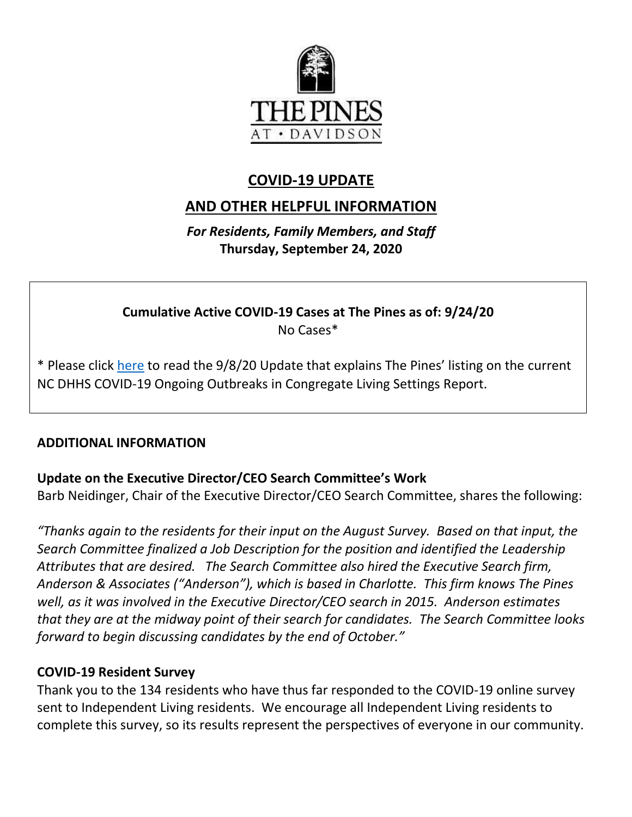

## **COVID-19 UPDATE**

# **AND OTHER HELPFUL INFORMATION**

*For Residents, Family Members, and Staff* **Thursday, September 24, 2020**

**Cumulative Active COVID-19 Cases at The Pines as of: 9/24/20** No Cases\*

\* Please click [here](https://www.mycommunity-center.com/filephotos/463/COVID-19%20Update%209-8-2020.pdf) to read the 9/8/20 Update that explains The Pines' listing on the current NC DHHS COVID-19 Ongoing Outbreaks in Congregate Living Settings Report.

#### **ADDITIONAL INFORMATION**

#### **Update on the Executive Director/CEO Search Committee's Work**

Barb Neidinger, Chair of the Executive Director/CEO Search Committee, shares the following:

*"Thanks again to the residents for their input on the August Survey. Based on that input, the Search Committee finalized a Job Description for the position and identified the Leadership Attributes that are desired. The Search Committee also hired the Executive Search firm, Anderson & Associates ("Anderson"), which is based in Charlotte. This firm knows The Pines well, as it was involved in the Executive Director/CEO search in 2015. Anderson estimates that they are at the midway point of their search for candidates. The Search Committee looks forward to begin discussing candidates by the end of October."*

#### **COVID-19 Resident Survey**

Thank you to the 134 residents who have thus far responded to the COVID-19 online survey sent to Independent Living residents. We encourage all Independent Living residents to complete this survey, so its results represent the perspectives of everyone in our community.